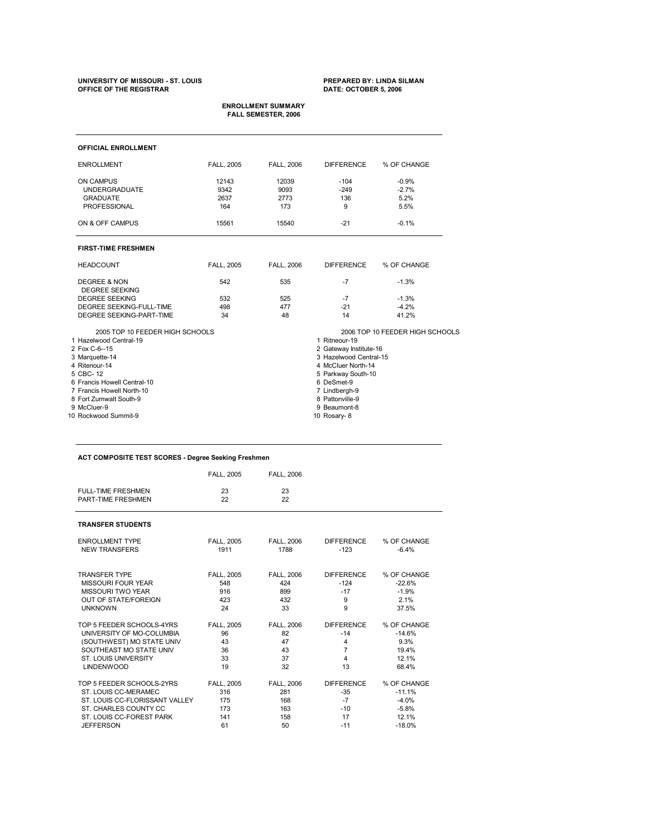# **UNIVERSITY OF MISSOURI ST. LOUIS PREPARED BY: LINDA SILMAN OFFICE OF THE REGISTRAR DATE: OCTOBER 5, 2006**

# **ENROLLMENT SUMMARY FALL SEMESTER, 2006**

| <b>OFFICIAL ENROLLMENT</b>      |                    |                   |                        |                                 |  |  |
|---------------------------------|--------------------|-------------------|------------------------|---------------------------------|--|--|
| <b>ENROLLMENT</b>               | <b>FALL, 2005</b>  | <b>FALL, 2006</b> | <b>DIFFERENCE</b>      | % OF CHANGE                     |  |  |
| <b>ON CAMPUS</b>                | 12143              | 12039             | $-104$                 | $-0.9%$                         |  |  |
| <b>UNDERGRADUATE</b>            | 9342               | 9093              | $-249$                 | $-2.7%$                         |  |  |
| <b>GRADUATE</b>                 | 2637               | 2773              | 136                    | 5.2%                            |  |  |
| PROFESSIONAL                    | 164                | 173               | 9                      | 5.5%                            |  |  |
| ON & OFF CAMPUS                 | 15561              | 15540             | $-21$                  | $-0.1%$                         |  |  |
| <b>FIRST-TIME FRESHMEN</b>      |                    |                   |                        |                                 |  |  |
| <b>HEADCOUNT</b>                | <b>FALL, 2005</b>  | <b>FALL, 2006</b> | <b>DIFFERENCE</b>      | % OF CHANGE                     |  |  |
| <b>DEGREE &amp; NON</b>         | 542                | 535               | $-7$                   | $-1.3%$                         |  |  |
| <b>DEGREE SEEKING</b>           |                    |                   |                        |                                 |  |  |
| <b>DEGREE SEEKING</b>           | 532                | 525               | $-7$                   | $-1.3%$                         |  |  |
| DEGREE SEEKING-FULL-TIME        | 498                | 477               | $-21$                  | $-4.2%$                         |  |  |
| <b>DEGREE SEEKING-PART-TIME</b> | 34                 | 48                | 14                     | 41.2%                           |  |  |
| 2005 TOP 10 FEEDER HIGH SCHOOLS |                    |                   |                        | 2006 TOP 10 FEEDER HIGH SCHOOLS |  |  |
| 1 Hazelwood Central-19          |                    |                   | 1 Ritneour-19          |                                 |  |  |
| 2 Fox C-6--15                   |                    |                   | 2 Gateway Institute-16 |                                 |  |  |
| 3 Marquette-14                  |                    |                   | 3 Hazelwood Central-15 |                                 |  |  |
| 4 Ritenour-14                   |                    |                   | 4 McCluer North-14     |                                 |  |  |
| 5 CBC-12                        | 5 Parkway South-10 |                   |                        |                                 |  |  |
| 6 Francis Howell Central-10     |                    |                   | 6 DeSmet-9             |                                 |  |  |
| 7 Francis Howell North-10       |                    |                   | 7 Lindbergh-9          |                                 |  |  |
| 8 Fort Zumwalt South-9          |                    |                   | 8 Pattonville-9        |                                 |  |  |
| 9 McCluer-9                     |                    |                   | 9 Beaumont-8           |                                 |  |  |
| 10 Rockwood Summit-9            |                    |                   | 10 Rosary-8            |                                 |  |  |

# **ACT COMPOSITE TEST SCORES Degree Seeking Freshmen**

|                                                 | <b>FALL, 2005</b> | <b>FALL, 2006</b> |                   |             |
|-------------------------------------------------|-------------------|-------------------|-------------------|-------------|
| <b>FULL-TIME FRESHMEN</b><br>PART-TIME FRESHMEN | 23<br>22          | 23<br>22          |                   |             |
| <b>TRANSFER STUDENTS</b>                        |                   |                   |                   |             |
| <b>ENROLLMENT TYPE</b>                          | <b>FALL, 2005</b> | <b>FALL, 2006</b> | <b>DIFFERENCE</b> | % OF CHANGE |
| <b>NEW TRANSFERS</b>                            | 1911              | 1788              | $-123$            | $-6.4%$     |
| <b>TRANSFER TYPE</b>                            | <b>FALL, 2005</b> | <b>FALL. 2006</b> | <b>DIFFERENCE</b> | % OF CHANGE |
| <b>MISSOURI FOUR YEAR</b>                       | 548               | 424               | $-124$            | $-22.6%$    |
| <b>MISSOURI TWO YEAR</b>                        | 916               | 899               | $-17$             | $-1.9%$     |
| <b>OUT OF STATE/FOREIGN</b>                     | 423               | 432               | 9                 | 2.1%        |
| <b>UNKNOWN</b>                                  | 24                | 33                | 9                 | 37.5%       |
| TOP 5 FEEDER SCHOOLS-4YRS                       | <b>FALL. 2005</b> | <b>FALL. 2006</b> | <b>DIFFERENCE</b> | % OF CHANGE |
| UNIVERSITY OF MO-COLUMBIA                       | 96                | 82                | $-14$             | $-14.6%$    |
| (SOUTHWEST) MO STATE UNIV                       | 43                | 47                | 4                 | 9.3%        |
| SOUTHEAST MO STATE UNIV                         | 36                | 43                | 7                 | 19.4%       |
| ST. LOUIS UNIVERSITY                            | 33                | 37                | 4                 | 12.1%       |
| <b>LINDENWOOD</b>                               | 19                | 32                | 13                | 68.4%       |
| TOP 5 FEEDER SCHOOLS-2YRS                       | <b>FALL, 2005</b> | <b>FALL, 2006</b> | <b>DIFFERENCE</b> | % OF CHANGE |
| ST. LOUIS CC-MERAMEC                            | 316               | 281               | $-35$             | $-11.1%$    |
| ST. LOUIS CC-FLORISSANT VALLEY                  | 175               | 168               | $-7$              | $-4.0%$     |
| ST. CHARLES COUNTY CC                           | 173               | 163               | $-10$             | $-5.8%$     |
| ST. LOUIS CC-FOREST PARK                        | 141               | 158               | 17                | 12.1%       |
| <b>JEFFERSON</b>                                | 61                | 50                | $-11$             | $-18.0%$    |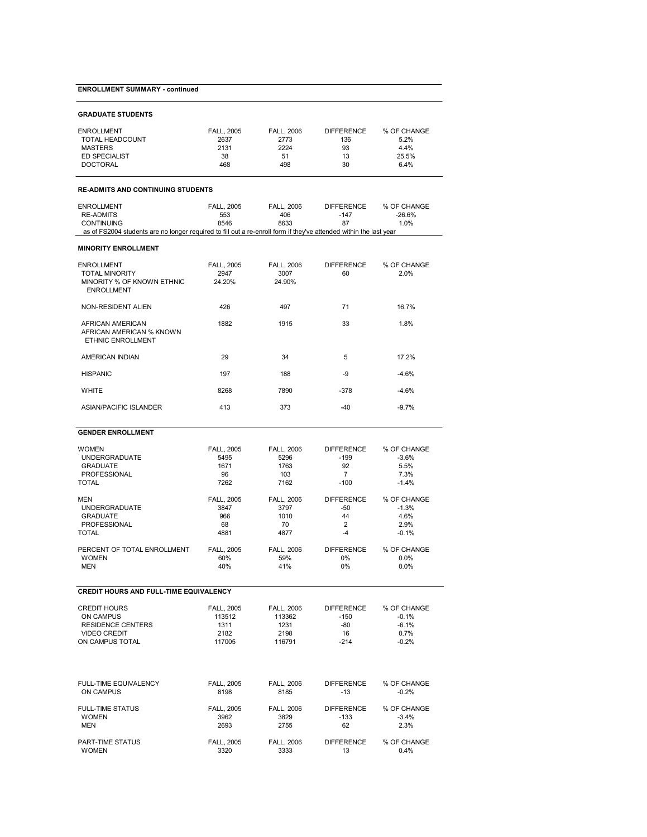# **ENROLLMENT SUMMARY - continued**

| ENROLLMENT      | <b>FALL. 2005</b> | <b>FALL. 2006</b> | <b>DIFFERENCE</b> | % OF CHANGE |
|-----------------|-------------------|-------------------|-------------------|-------------|
| TOTAL HEADCOUNT | 2637              | 2773              | 136               | 5.2%        |
| MASTERS         | 2131              | 2224              | 93                | 4.4%        |
| ED SPECIALIST   | 38                | 51                | 13                | 25.5%       |
| DOCTORAL        | 468               | 498               | 30                | 6.4%        |

### **READMITS AND CONTINUING STUDENTS**

| ENROLLMENT                                                                                                         | <b>FALL. 2005</b> | <b>FALL. 2006</b> | <b>DIFFERENCE</b> | % OF CHANGE |  |  |  |
|--------------------------------------------------------------------------------------------------------------------|-------------------|-------------------|-------------------|-------------|--|--|--|
| RE-ADMITS                                                                                                          | 553               | 406               | -147              | $-26.6\%$   |  |  |  |
| <b>CONTINUING</b>                                                                                                  | 8546              | 8633              |                   | 1.0%        |  |  |  |
| as of FS2004 students are no longer required to fill out a re-enroll form if they've attended within the last year |                   |                   |                   |             |  |  |  |

### **MINORITY ENROLLMENT**

| <b>ENROLLMENT</b><br><b>TOTAL MINORITY</b><br>MINORITY % OF KNOWN ETHNIC<br><b>ENROLLMENT</b> | <b>FALL, 2005</b><br>2947<br>24.20% | <b>FALL. 2006</b><br>3007<br>24.90% | <b>DIFFERENCE</b><br>60 | % OF CHANGE<br>2.0% |  |
|-----------------------------------------------------------------------------------------------|-------------------------------------|-------------------------------------|-------------------------|---------------------|--|
| NON-RESIDENT ALIEN                                                                            | 426                                 | 497                                 | 71                      | 16.7%               |  |
| AFRICAN AMERICAN<br>AFRICAN AMERICAN % KNOWN<br><b>ETHNIC ENROLLMENT</b>                      | 1882                                | 1915                                | 33                      | 1.8%                |  |
| AMERICAN INDIAN                                                                               | 29                                  | 34                                  | 5                       | 17.2%               |  |
| <b>HISPANIC</b>                                                                               | 197                                 | 188                                 | -9                      | $-4.6%$             |  |
| <b>WHITE</b>                                                                                  | 8268                                | 7890                                | $-378$                  | $-4.6%$             |  |
| ASIAN/PACIFIC ISLANDER                                                                        | 413                                 | 373                                 | $-40$                   | $-9.7%$             |  |

# **GENDER ENROLLMENT**

| <b>WOMEN</b>                                  | <b>FALL, 2005</b> | <b>FALL, 2006</b> | <b>DIFFERENCE</b> | % OF CHANGE |
|-----------------------------------------------|-------------------|-------------------|-------------------|-------------|
| <b>UNDERGRADUATE</b>                          | 5495              | 5296              | $-199$            | $-3.6%$     |
| <b>GRADUATE</b>                               | 1671              | 1763              | 92                | 5.5%        |
| <b>PROFESSIONAL</b>                           | 96                | 103               | $\overline{7}$    | 7.3%        |
| <b>TOTAL</b>                                  | 7262              | 7162              | $-100$            | $-1.4%$     |
| <b>MEN</b>                                    | <b>FALL, 2005</b> | <b>FALL, 2006</b> | <b>DIFFERENCE</b> | % OF CHANGE |
| <b>UNDERGRADUATE</b>                          | 3847              | 3797              | $-50$             | $-1.3%$     |
| <b>GRADUATE</b>                               | 966               | 1010              | 44                | 4.6%        |
| <b>PROFESSIONAL</b>                           | 68                | 70                | $\overline{2}$    | 2.9%        |
| <b>TOTAL</b>                                  | 4881              | 4877              | $-4$              | $-0.1%$     |
| PERCENT OF TOTAL ENROLLMENT                   | <b>FALL, 2005</b> | <b>FALL, 2006</b> | <b>DIFFERENCE</b> | % OF CHANGE |
| <b>WOMEN</b>                                  | 60%               | 59%               | 0%                | 0.0%        |
| <b>MEN</b>                                    | 40%               | 41%               | $0\%$             | 0.0%        |
| <b>CREDIT HOURS AND FULL-TIME EQUIVALENCY</b> |                   |                   |                   |             |
| <b>CREDIT HOURS</b>                           | <b>FALL, 2005</b> | <b>FALL. 2006</b> | <b>DIFFERENCE</b> | % OF CHANGE |
| <b>ON CAMPUS</b>                              | 113512            | 113362            | $-150$            | $-0.1%$     |
| <b>RESIDENCE CENTERS</b>                      | 1311              | 1231              | -80               | $-6.1%$     |
| <b>VIDEO CREDIT</b>                           | 2182              | 2198              | 16                | 0.7%        |
| ON CAMPUS TOTAL                               | 117005            | 116791            | $-214$            | $-0.2%$     |
| <b>FULL-TIME EQUIVALENCY</b>                  | <b>FALL, 2005</b> | <b>FALL, 2006</b> | <b>DIFFERENCE</b> | % OF CHANGE |
| <b>ON CAMPUS</b>                              | 8198              | 8185              | $-13$             | $-0.2%$     |
| <b>FULL-TIME STATUS</b>                       | <b>FALL, 2005</b> | <b>FALL, 2006</b> | <b>DIFFERENCE</b> | % OF CHANGE |
| <b>WOMEN</b>                                  | 3962              | 3829              | $-133$            | $-3.4%$     |
| <b>MEN</b>                                    | 2693              | 2755              | 62                | 2.3%        |

| PART-TIME STATUS | <b>FALL, 2005</b> | <b>FALL, 2006</b> | <b>DIFFERENCE</b> | % OF CHANGE |  |
|------------------|-------------------|-------------------|-------------------|-------------|--|
| <b>WOMEN</b>     | 3320              | 3333              |                   | 0.4%        |  |